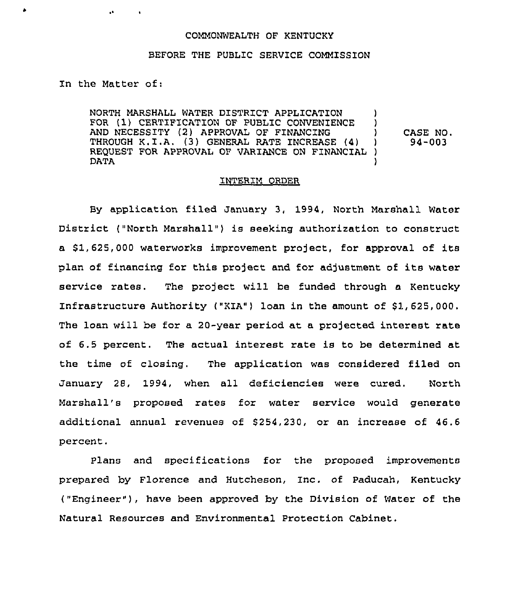## COMMONWEALTH OF KENTUCKY

## BEFORE THE PUBLIC SERVICE COMMISSION

In the Matter of:

 $\mathbf{A}$ 

 $\sim$ 

 $\bullet$ 

NORTH MARSHALL WATER DISTRICT APPLICATION (1) FOR (1) CERTIFICATION OF PUBLIC CONVENIENCE )<br>AND NECESSITY (2) APPROVAL OF FINANCING AND NECESSITY (2) APPROVAL OF FINANCING (4) THROUGH K.I.A. (3) GENERAL RATE INCREASE (4) ) REQUEST FOR APPROVAL OF VARIANCE ON FINANCIAL ) DATA ) CASE NO. 94-003

## INTERIM ORDER

By application filed January 3, 1994, North Marshall Water District ("North Marshall" ) is seeking authorization to construct a \$ 1, 625, 000 waterworks improvement project, for approval of its plan of financing for this project and for adjustment of its water service rates. The project will be funded through a Kentucky Infrastructure Authority ("KIA") loan in the amount of \$1,625,000. The loan will be for a 20-year period at a projected interest rate of 6.5 percent. The actual interest rate is to be determined at the time of closing. The application was considered filed on January 28, 1994, when all deficiencies were cured. North Marshall's proposed rates for water service would generate additional annual revenues of \$254,230, or an increase of 46.6 percent.

Plans and specifications for the proposed improvements prepared by Florence and Hutcheson, Inc. of Paducah, Kentucky ("Engineer"), have been approved by the Division of Water of the Natural Resources and Environmental Protection Cabinet.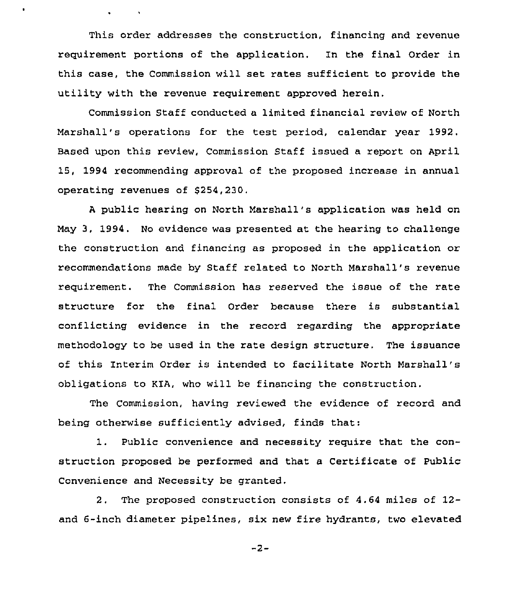This order addresses the construction, financing and revenue requirement portions of the application. in the final Order in this case, the Commission will set rates sufficient to provide the utility with the revenue requirement approved herein.

 $\bullet$ 

Commission Staff conducted a limited financial review of North Marshall's operations for the test period, calendar year 1992. Based upon this review, Commission Staff issued a report on April 15, 1994 recommending approval of the proposed increase in annual operating revenues of \$254,230.

<sup>A</sup> public hearing on North Marshall's application was held on May 3, 1994. No evidence was presented at the hearing to challenge the construction and financing as proposed in the application or recommendations made by Staff related to North Marshall's revenue requirement. The Commission has reserved the issue of the rate structure for the final Order because there is substantial conflicting evidence in the record regarding the appropriate methodology to be used in the rate design structure, The issuance of this interim Order is intended to facilitate North Marshall's obligations to KiA, who will be financing the construction.

The Commission, having reviewed the evidence of record and being otherwise sufficiently advised, finds that:

1. Public convenience and necessity require that the construction proposed be performed and that a Certificate of Public Convenience and Necessity be granted,

2. The proposed construction consists of 4.64 miles of 12 and 6-inch diameter pipelines, six new fire hydrants, two elevated

 $-2-$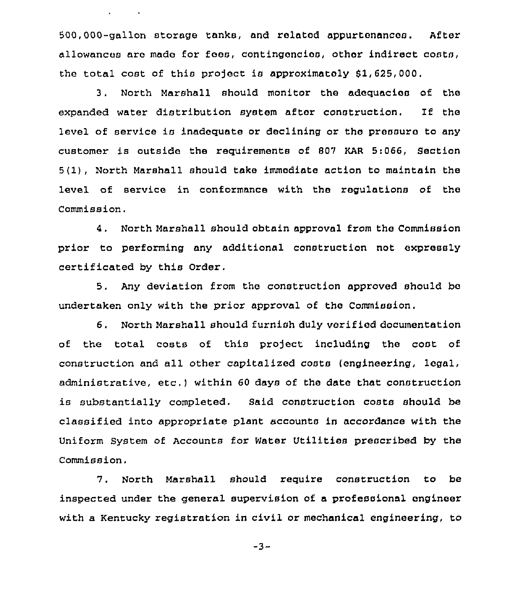500,000-gallon storage tanks, and relatod appurtenances. After allowances are made for fees, contingencios, other indirect costs, the total cost of this project is approximately  $$1,625,000$ .

and the state

3. North Marshall should monitor the adequacios of the expanded water distribution system after construction. If the level of service is inadequate or declining or tho prossuro to any customer is outsido the requirements of 807 KAR 5:066, Section 5(1), North Marshall should take immediate action to maintain the level of service in conformance with the regulations of the Commission.

4. North Marshall should obtain approval from the Commission prior to performing any additional construction not expressly certificated by this Order.

5. Any deviation from the construction approved should be undertaken only with the prior approval of the Commission.

6. North Marshall should furnish duly verified documentation of the total costs of this project including the cost of construction and all other capitalized costs (engineering, legal, administrative, etc.) within <sup>60</sup> days of the date that construction is substantially completed. Said construction costs should be classified into appropriate plant accounts in accordance with the Uniform System of Accounts for Water Utilities prescribed by the Commission.

7. North Marshall should require construction to be inspected under the general supervision of a professional engineer with a Kentucky registration in civil or mechanical engineering, to

 $-3-$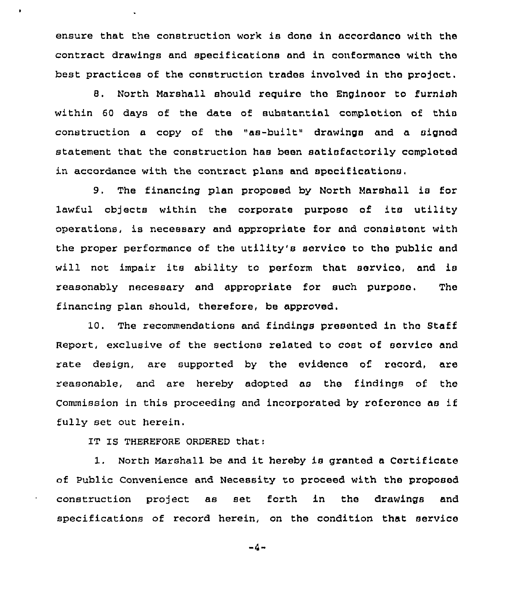ensure that the construction work is done in accordanco with the contract drawings and specifications and in conformance with tho best practices of the construction trades involved in the project.

8. North Marshall should require the Enginoor to furnish within 60 days of the date of substantial complotion of this construction a copy of the "as-built" drawings and a signod statement that the construction has been satisfactorily completed in accordance with the contract plans and specifications.

9. The financing plan proposed by North Marshall is ior lawful objects within the corporate puxposo of its utility opexations, is necessary and appropriate for and consistont with the pxoper performance of the utility's service to the public and will not impair its ability to perform that service, and is reasonably necessary and appropriate for such purpose. The financing plan should, therefore, be approved.

10. The recommendations and findings presented in tho Staff Report, exclusive of the sections related to cost of servico and xate design, are supported by the evidence of record, are reasonable, and are hereby adopted as the findings of the Commission in this proceeding and incorporated by reference as if fully set out herein.

IT IS THEREFORE ORDERED that:

 $\blacksquare$ 

1. North Marshall be and it hereby is granted <sup>a</sup> Certificate of Public Convenience and Necessity to proceed with the proposod construction project as set forth in the drawings and specifications of record herein, on the condition that service

 $-4-$